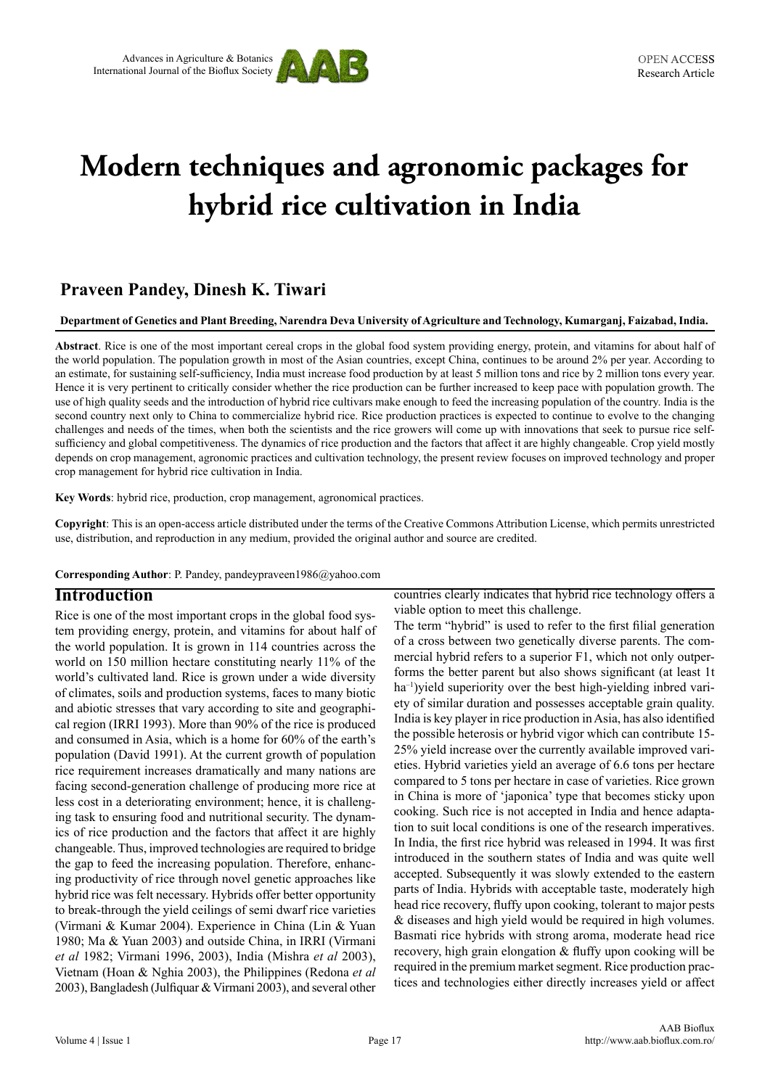

# **Modern techniques and agronomic packages for hybrid rice cultivation in India**

# **Praveen Pandey, Dinesh K. Tiwari**

**Department of Genetics and Plant Breeding, Narendra Deva University of Agriculture and Technology, Kumarganj, Faizabad, India.**

**Abstract**. Rice is one of the most important cereal crops in the global food system providing energy, protein, and vitamins for about half of the world population. The population growth in most of the Asian countries, except China, continues to be around 2% per year. According to an estimate, for sustaining self-sufficiency, India must increase food production by at least 5 million tons and rice by 2 million tons every year. Hence it is very pertinent to critically consider whether the rice production can be further increased to keep pace with population growth. The use of high quality seeds and the introduction of hybrid rice cultivars make enough to feed the increasing population of the country. India is the second country next only to China to commercialize hybrid rice. Rice production practices is expected to continue to evolve to the changing challenges and needs of the times, when both the scientists and the rice growers will come up with innovations that seek to pursue rice selfsufficiency and global competitiveness. The dynamics of rice production and the factors that affect it are highly changeable. Crop yield mostly depends on crop management, agronomic practices and cultivation technology, the present review focuses on improved technology and proper crop management for hybrid rice cultivation in India.

**Key Words**: hybrid rice, production, crop management, agronomical practices.

**Copyright**: This is an open-access article distributed under the terms of the Creative Commons Attribution License, which permits unrestricted use, distribution, and reproduction in any medium, provided the original author and source are credited.

**Corresponding Author**: P. Pandey, pandeypraveen1986@yahoo.com

#### **Introduction**

Rice is one of the most important crops in the global food system providing energy, protein, and vitamins for about half of the world population. It is grown in 114 countries across the world on 150 million hectare constituting nearly 11% of the world's cultivated land. Rice is grown under a wide diversity of climates, soils and production systems, faces to many biotic and abiotic stresses that vary according to site and geographical region (IRRI 1993). More than 90% of the rice is produced and consumed in Asia, which is a home for 60% of the earth's population (David 1991). At the current growth of population rice requirement increases dramatically and many nations are facing second-generation challenge of producing more rice at less cost in a deteriorating environment; hence, it is challenging task to ensuring food and nutritional security. The dynamics of rice production and the factors that affect it are highly changeable. Thus, improved technologies are required to bridge the gap to feed the increasing population. Therefore, enhancing productivity of rice through novel genetic approaches like hybrid rice was felt necessary. Hybrids offer better opportunity to break-through the yield ceilings of semi dwarf rice varieties (Virmani & Kumar 2004). Experience in China (Lin & Yuan 1980; Ma & Yuan 2003) and outside China, in IRRI (Virmani *et al* 1982; Virmani 1996, 2003), India (Mishra *et al* 2003), Vietnam (Hoan & Nghia 2003), the Philippines (Redona *et al* 2003), Bangladesh (Julfiquar & Virmani 2003), and several other

countries clearly indicates that hybrid rice technology offers a viable option to meet this challenge.

The term "hybrid" is used to refer to the first filial generation of a cross between two genetically diverse parents. The commercial hybrid refers to a superior F1, which not only outperforms the better parent but also shows significant (at least 1t ha<sup>-1</sup>)yield superiority over the best high-yielding inbred variety of similar duration and possesses acceptable grain quality. India is key player in rice production in Asia, has also identified the possible heterosis or hybrid vigor which can contribute 15- 25% yield increase over the currently available improved varieties. Hybrid varieties yield an average of 6.6 tons per hectare compared to 5 tons per hectare in case of varieties. Rice grown in China is more of 'japonica' type that becomes sticky upon cooking. Such rice is not accepted in India and hence adaptation to suit local conditions is one of the research imperatives. In India, the first rice hybrid was released in 1994. It was first introduced in the southern states of India and was quite well accepted. Subsequently it was slowly extended to the eastern parts of India. Hybrids with acceptable taste, moderately high head rice recovery, fluffy upon cooking, tolerant to major pests & diseases and high yield would be required in high volumes. Basmati rice hybrids with strong aroma, moderate head rice recovery, high grain elongation & fluffy upon cooking will be required in the premium market segment. Rice production practices and technologies either directly increases yield or affect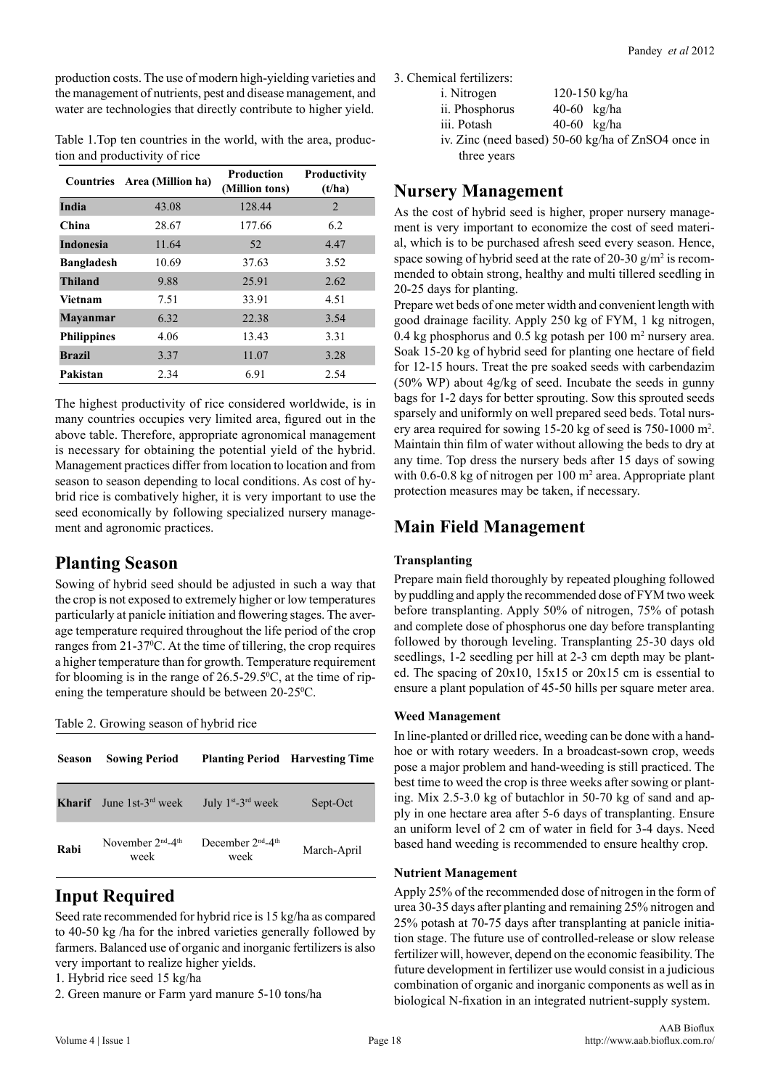production costs. The use of modern high-yielding varieties and the management of nutrients, pest and disease management, and water are technologies that directly contribute to higher yield.

Table 1.Top ten countries in the world, with the area, production and productivity of rice

| <b>Countries</b>   | Area (Million ha) | <b>Production</b><br>(Million tons) | Productivity<br>(t/ha) |
|--------------------|-------------------|-------------------------------------|------------------------|
| India              | 43.08             | 128.44                              | 2                      |
| China              | 28.67             | 177.66                              | 6.2                    |
| <b>Indonesia</b>   | 11.64             | 52                                  | 4.47                   |
| <b>Bangladesh</b>  | 10.69             | 37.63                               | 3.52                   |
| Thiland            | 9.88              | 25.91                               | 2.62                   |
| Vietnam            | 7.51              | 33.91                               | 4.51                   |
| <b>Mayanmar</b>    | 6.32              | 22.38                               | 3.54                   |
| <b>Philippines</b> | 4.06              | 13.43                               | 3.31                   |
| <b>Brazil</b>      | 3.37              | 11.07                               | 3.28                   |
| Pakistan           | 2.34              | 6.91                                | 2.54                   |

The highest productivity of rice considered worldwide, is in many countries occupies very limited area, figured out in the above table. Therefore, appropriate agronomical management is necessary for obtaining the potential yield of the hybrid. Management practices differ from location to location and from season to season depending to local conditions. As cost of hybrid rice is combatively higher, it is very important to use the seed economically by following specialized nursery management and agronomic practices.

## **Planting Season**

Sowing of hybrid seed should be adjusted in such a way that the crop is not exposed to extremely higher or low temperatures particularly at panicle initiation and flowering stages. The average temperature required throughout the life period of the crop ranges from 21-37<sup>°</sup>C. At the time of tillering, the crop requires a higher temperature than for growth. Temperature requirement for blooming is in the range of  $26.5{\text -}29.5^{\circ}$ C, at the time of ripening the temperature should be between 20-25<sup>o</sup>C.

Table 2. Growing season of hybrid rice

| <b>Season</b> | <b>Sowing Period</b>       |                                                   | <b>Planting Period</b> Harvesting Time |
|---------------|----------------------------|---------------------------------------------------|----------------------------------------|
| <b>Kharif</b> | June 1st- $3^{rd}$ week    | July $1^{st}$ -3 <sup>rd</sup> week               | Sept-Oct                               |
| Rabi          | November $2nd-4th$<br>week | December 2 <sup>nd</sup> -4 <sup>th</sup><br>week | March-April                            |

# **Input Required**

Seed rate recommended for hybrid rice is 15 kg/ha as compared to 40-50 kg /ha for the inbred varieties generally followed by farmers. Balanced use of organic and inorganic fertilizers is also very important to realize higher yields.

- 1. Hybrid rice seed 15 kg/ha
- 2. Green manure or Farm yard manure 5-10 tons/ha

3. Chemical fertilizers:

| i. Nitrogen                              |               | 120-150 kg/ha |
|------------------------------------------|---------------|---------------|
| ii. Phosphorus                           | $40-60$ kg/ha |               |
| iii. Potash                              | 40-60 $kg/ha$ |               |
| iv Zinc (need based) 50-60 kg/ha of ZnSC |               |               |

iv. Zinc (need based) 50-60 kg/ha of ZnSO4 once in three years

## **Nursery Management**

As the cost of hybrid seed is higher, proper nursery management is very important to economize the cost of seed material, which is to be purchased afresh seed every season. Hence, space sowing of hybrid seed at the rate of 20-30  $g/m^2$  is recommended to obtain strong, healthy and multi tillered seedling in 20-25 days for planting.

Prepare wet beds of one meter width and convenient length with good drainage facility. Apply 250 kg of FYM, 1 kg nitrogen, 0.4 kg phosphorus and 0.5 kg potash per  $100 \text{ m}^2$  nursery area. Soak 15-20 kg of hybrid seed for planting one hectare of field for 12-15 hours. Treat the pre soaked seeds with carbendazim (50% WP) about 4g/kg of seed. Incubate the seeds in gunny bags for 1-2 days for better sprouting. Sow this sprouted seeds sparsely and uniformly on well prepared seed beds. Total nursery area required for sowing 15-20 kg of seed is 750-1000 m2 . Maintain thin film of water without allowing the beds to dry at any time. Top dress the nursery beds after 15 days of sowing with 0.6-0.8 kg of nitrogen per 100 m<sup>2</sup> area. Appropriate plant protection measures may be taken, if necessary.

# **Main Field Management**

#### **Transplanting**

Prepare main field thoroughly by repeated ploughing followed by puddling and apply the recommended dose of FYM two week before transplanting. Apply 50% of nitrogen, 75% of potash and complete dose of phosphorus one day before transplanting followed by thorough leveling. Transplanting 25-30 days old seedlings, 1-2 seedling per hill at 2-3 cm depth may be planted. The spacing of 20x10, 15x15 or 20x15 cm is essential to ensure a plant population of 45-50 hills per square meter area.

#### **Weed Management**

In line-planted or drilled rice, weeding can be done with a handhoe or with rotary weeders. In a broadcast-sown crop, weeds pose a major problem and hand-weeding is still practiced. The best time to weed the crop is three weeks after sowing or planting. Mix 2.5-3.0 kg of butachlor in 50-70 kg of sand and apply in one hectare area after 5-6 days of transplanting. Ensure an uniform level of 2 cm of water in field for 3-4 days. Need based hand weeding is recommended to ensure healthy crop.

#### **Nutrient Management**

Apply 25% of the recommended dose of nitrogen in the form of urea 30-35 days after planting and remaining 25% nitrogen and 25% potash at 70-75 days after transplanting at panicle initiation stage. The future use of controlled-release or slow release fertilizer will, however, depend on the economic feasibility. The future development in fertilizer use would consist in a judicious combination of organic and inorganic components as well as in biological N-fixation in an integrated nutrient-supply system.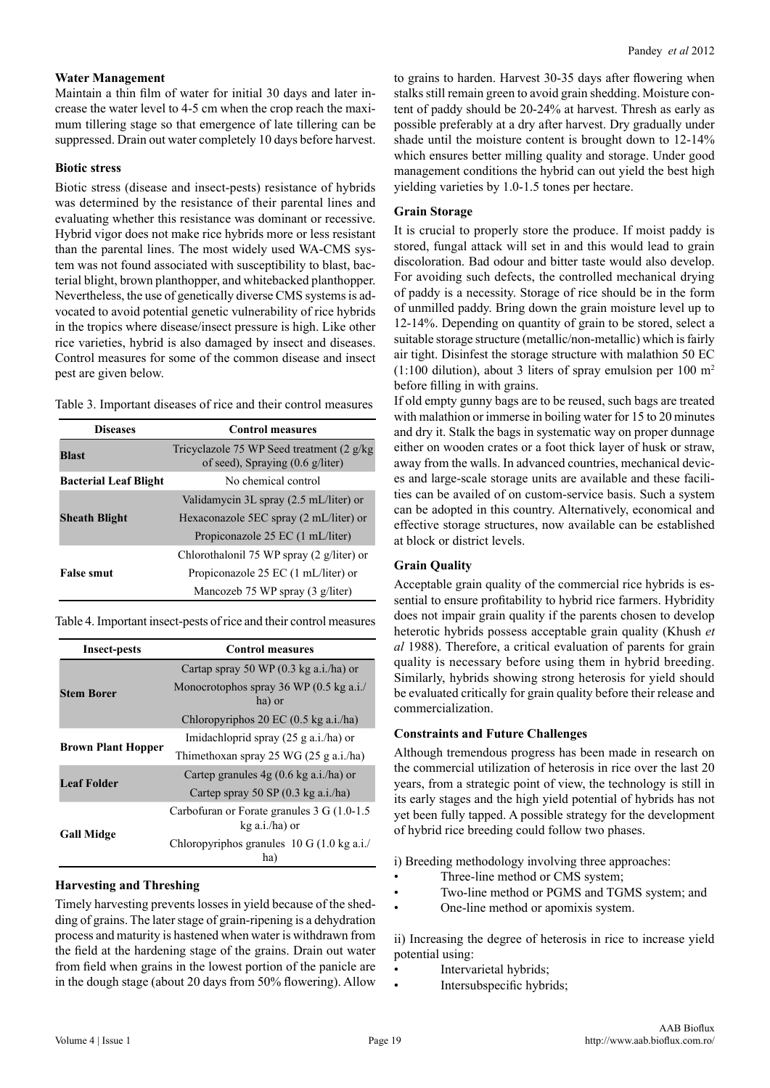#### **Water Management**

Maintain a thin film of water for initial 30 days and later increase the water level to 4-5 cm when the crop reach the maximum tillering stage so that emergence of late tillering can be suppressed. Drain out water completely 10 days before harvest.

#### **Biotic stress**

Biotic stress (disease and insect-pests) resistance of hybrids was determined by the resistance of their parental lines and evaluating whether this resistance was dominant or recessive. Hybrid vigor does not make rice hybrids more or less resistant than the parental lines. The most widely used WA-CMS system was not found associated with susceptibility to blast, bacterial blight, brown planthopper, and whitebacked planthopper. Nevertheless, the use of genetically diverse CMS systems is advocated to avoid potential genetic vulnerability of rice hybrids in the tropics where disease/insect pressure is high. Like other rice varieties, hybrid is also damaged by insect and diseases. Control measures for some of the common disease and insect pest are given below.

| Table 3. Important diseases of rice and their control measures |  |  |
|----------------------------------------------------------------|--|--|
|----------------------------------------------------------------|--|--|

| <b>Diseases</b>              | <b>Control measures</b>                                                                  |
|------------------------------|------------------------------------------------------------------------------------------|
| <b>Blast</b>                 | Tricyclazole 75 WP Seed treatment (2 g/kg)<br>of seed), Spraying $(0.6 \text{ g/liter})$ |
| <b>Bacterial Leaf Blight</b> | No chemical control                                                                      |
|                              | Validamycin 3L spray (2.5 mL/liter) or                                                   |
| <b>Sheath Blight</b>         | Hexaconazole 5EC spray (2 mL/liter) or                                                   |
|                              | Propiconazole 25 EC (1 mL/liter)                                                         |
|                              | Chlorothalonil 75 WP spray (2 g/liter) or                                                |
| <b>False smut</b>            | Propiconazole 25 EC (1 mL/liter) or                                                      |
|                              | Mancozeb 75 WP spray (3 g/liter)                                                         |

Table 4. Important insect-pests of rice and their control measures

| <b>Insect-pests</b>       | <b>Control measures</b>                                         |
|---------------------------|-----------------------------------------------------------------|
|                           | Cartap spray 50 WP (0.3 kg a.i./ha) or                          |
| <b>Stem Borer</b>         | Monocrotophos spray 36 WP (0.5 kg a.i./<br>ha) or               |
|                           | Chloropyriphos $20 \text{ EC} (0.5 \text{ kg a.i./ha})$         |
| <b>Brown Plant Hopper</b> | Imidachloprid spray $(25 \text{ g a.i./ha})$ or                 |
|                           | Thimethoxan spray 25 WG $(25 \text{ g a.i./ha})$                |
| <b>Leaf Folder</b>        | Cartep granules $4g(0.6 \text{ kg a.i./ha})$ or                 |
|                           | Cartep spray 50 SP $(0.3 \text{ kg } a.i./ha)$                  |
|                           | Carbofuran or Forate granules 3 G (1.0-1.5)<br>$kg$ a.i./ha) or |
| <b>Gall Midge</b>         | Chloropyriphos granules $10 \text{ G}$ (1.0 kg a.i./<br>ha)     |

#### **Harvesting and Threshing**

Timely harvesting prevents losses in yield because of the shedding of grains. The later stage of grain-ripening is a dehydration process and maturity is hastened when water is withdrawn from the field at the hardening stage of the grains. Drain out water from field when grains in the lowest portion of the panicle are in the dough stage (about 20 days from 50% flowering). Allow to grains to harden. Harvest 30-35 days after flowering when stalks still remain green to avoid grain shedding. Moisture content of paddy should be 20-24% at harvest. Thresh as early as possible preferably at a dry after harvest. Dry gradually under shade until the moisture content is brought down to 12-14% which ensures better milling quality and storage. Under good management conditions the hybrid can out yield the best high yielding varieties by 1.0-1.5 tones per hectare.

#### **Grain Storage**

It is crucial to properly store the produce. If moist paddy is stored, fungal attack will set in and this would lead to grain discoloration. Bad odour and bitter taste would also develop. For avoiding such defects, the controlled mechanical drying of paddy is a necessity. Storage of rice should be in the form of unmilled paddy. Bring down the grain moisture level up to 12-14%. Depending on quantity of grain to be stored, select a suitable storage structure (metallic/non-metallic) which is fairly air tight. Disinfest the storage structure with malathion 50 EC  $(1:100$  dilution), about 3 liters of spray emulsion per 100 m<sup>2</sup> before filling in with grains.

If old empty gunny bags are to be reused, such bags are treated with malathion or immerse in boiling water for 15 to 20 minutes and dry it. Stalk the bags in systematic way on proper dunnage either on wooden crates or a foot thick layer of husk or straw, away from the walls. In advanced countries, mechanical devices and large-scale storage units are available and these facilities can be availed of on custom-service basis. Such a system can be adopted in this country. Alternatively, economical and effective storage structures, now available can be established at block or district levels.

#### **Grain Quality**

Acceptable grain quality of the commercial rice hybrids is essential to ensure profitability to hybrid rice farmers. Hybridity does not impair grain quality if the parents chosen to develop heterotic hybrids possess acceptable grain quality (Khush *et al* 1988). Therefore, a critical evaluation of parents for grain quality is necessary before using them in hybrid breeding. Similarly, hybrids showing strong heterosis for yield should be evaluated critically for grain quality before their release and commercialization.

#### **Constraints and Future Challenges**

Although tremendous progress has been made in research on the commercial utilization of heterosis in rice over the last 20 years, from a strategic point of view, the technology is still in its early stages and the high yield potential of hybrids has not yet been fully tapped. A possible strategy for the development of hybrid rice breeding could follow two phases.

i) Breeding methodology involving three approaches:

- Three-line method or CMS system;
- Two-line method or PGMS and TGMS system; and
- One-line method or apomixis system.

ii) Increasing the degree of heterosis in rice to increase yield potential using:

- Intervarietal hybrids;
- Intersubspecific hybrids;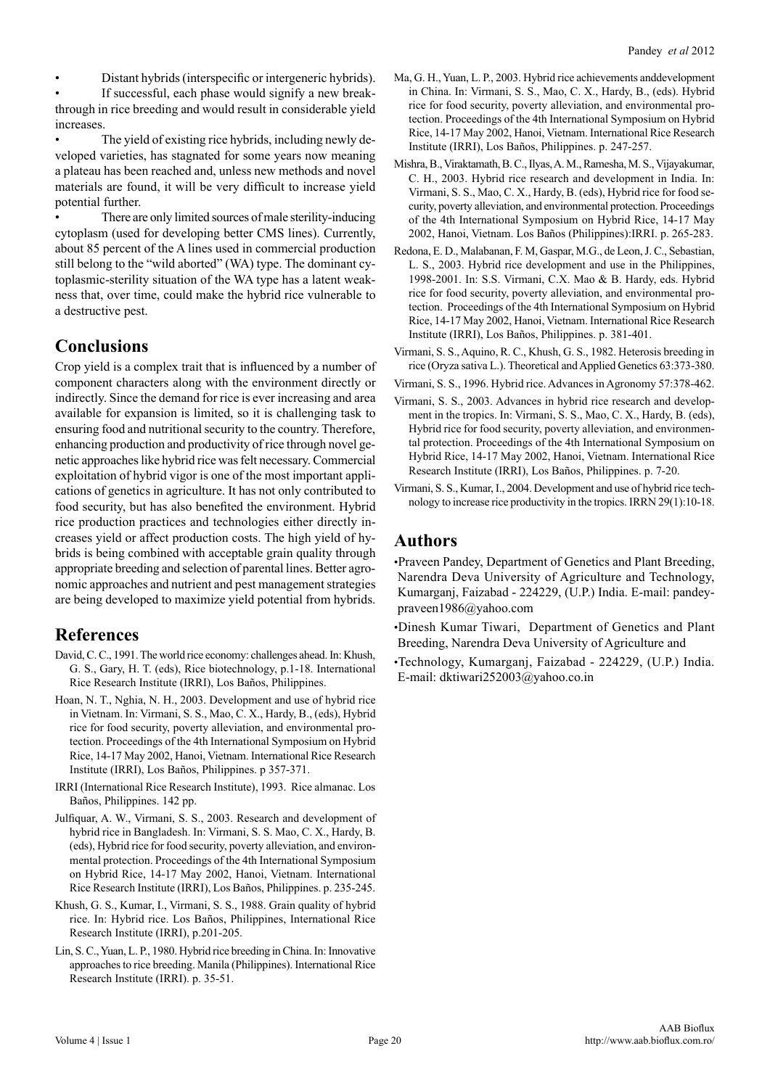• Distant hybrids (interspecific or intergeneric hybrids).

If successful, each phase would signify a new breakthrough in rice breeding and would result in considerable yield increases.

• The yield of existing rice hybrids, including newly developed varieties, has stagnated for some years now meaning a plateau has been reached and, unless new methods and novel materials are found, it will be very difficult to increase yield potential further.

There are only limited sources of male sterility-inducing cytoplasm (used for developing better CMS lines). Currently, about 85 percent of the A lines used in commercial production still belong to the "wild aborted" (WA) type. The dominant cytoplasmic-sterility situation of the WA type has a latent weakness that, over time, could make the hybrid rice vulnerable to a destructive pest.

## **Conclusions**

Crop yield is a complex trait that is influenced by a number of component characters along with the environment directly or indirectly. Since the demand for rice is ever increasing and area available for expansion is limited, so it is challenging task to ensuring food and nutritional security to the country. Therefore, enhancing production and productivity of rice through novel genetic approaches like hybrid rice was felt necessary. Commercial exploitation of hybrid vigor is one of the most important applications of genetics in agriculture. It has not only contributed to food security, but has also benefited the environment. Hybrid rice production practices and technologies either directly increases yield or affect production costs. The high yield of hybrids is being combined with acceptable grain quality through appropriate breeding and selection of parental lines. Better agronomic approaches and nutrient and pest management strategies are being developed to maximize yield potential from hybrids.

## **References**

- David, C. C., 1991. The world rice economy: challenges ahead. In: Khush, G. S., Gary, H. T. (eds), Rice biotechnology, p.1-18. International Rice Research Institute (IRRI), Los Baños, Philippines.
- Hoan, N. T., Nghia, N. H., 2003. Development and use of hybrid rice in Vietnam. In: Virmani, S. S., Mao, C. X., Hardy, B., (eds), Hybrid rice for food security, poverty alleviation, and environmental protection. Proceedings of the 4th International Symposium on Hybrid Rice, 14-17 May 2002, Hanoi, Vietnam. International Rice Research Institute (IRRI), Los Baños, Philippines. p 357-371.
- IRRI (International Rice Research Institute), 1993. Rice almanac. Los Baños, Philippines. 142 pp.
- Julfiquar, A. W., Virmani, S. S., 2003. Research and development of hybrid rice in Bangladesh. In: Virmani, S. S. Mao, C. X., Hardy, B. (eds), Hybrid rice for food security, poverty alleviation, and environmental protection. Proceedings of the 4th International Symposium on Hybrid Rice, 14-17 May 2002, Hanoi, Vietnam. International Rice Research Institute (IRRI), Los Baños, Philippines. p. 235-245.
- Khush, G. S., Kumar, I., Virmani, S. S., 1988. Grain quality of hybrid rice. In: Hybrid rice. Los Baños, Philippines, International Rice Research Institute (IRRI), p.201-205.
- Lin, S. C., Yuan, L. P., 1980. Hybrid rice breeding in China. In: Innovative approaches to rice breeding. Manila (Philippines). International Rice Research Institute (IRRI). p. 35-51.
- Ma, G. H., Yuan, L. P., 2003. Hybrid rice achievements anddevelopment in China. In: Virmani, S. S., Mao, C. X., Hardy, B., (eds). Hybrid rice for food security, poverty alleviation, and environmental protection. Proceedings of the 4th International Symposium on Hybrid Rice, 14-17 May 2002, Hanoi, Vietnam. International Rice Research Institute (IRRI), Los Baños, Philippines. p. 247-257.
- Mishra, B., Viraktamath, B. C., Ilyas, A. M., Ramesha, M. S., Vijayakumar, C. H., 2003. Hybrid rice research and development in India. In: Virmani, S. S., Mao, C. X., Hardy, B. (eds), Hybrid rice for food security, poverty alleviation, and environmental protection. Proceedings of the 4th International Symposium on Hybrid Rice, 14-17 May 2002, Hanoi, Vietnam. Los Baños (Philippines):IRRI. p. 265-283.
- Redona, E. D., Malabanan, F. M, Gaspar, M.G., de Leon, J. C., Sebastian, L. S., 2003. Hybrid rice development and use in the Philippines, 1998-2001. In: S.S. Virmani, C.X. Mao & B. Hardy, eds. Hybrid rice for food security, poverty alleviation, and environmental protection. Proceedings of the 4th International Symposium on Hybrid Rice, 14-17 May 2002, Hanoi, Vietnam. International Rice Research Institute (IRRI), Los Baños, Philippines. p. 381-401.
- Virmani, S. S., Aquino, R. C., Khush, G. S., 1982. Heterosis breeding in rice (Oryza sativa L.). Theoretical and Applied Genetics 63:373-380.
- Virmani, S. S., 1996. Hybrid rice. Advances in Agronomy 57:378-462.
- Virmani, S. S., 2003. Advances in hybrid rice research and development in the tropics. In: Virmani, S. S., Mao, C. X., Hardy, B. (eds), Hybrid rice for food security, poverty alleviation, and environmental protection. Proceedings of the 4th International Symposium on Hybrid Rice, 14-17 May 2002, Hanoi, Vietnam. International Rice Research Institute (IRRI), Los Baños, Philippines. p. 7-20.
- Virmani, S. S., Kumar, I., 2004. Development and use of hybrid rice technology to increase rice productivity in the tropics. IRRN 29(1):10-18.

## **Authors**

•Praveen Pandey, Department of Genetics and Plant Breeding, Narendra Deva University of Agriculture and Technology, Kumarganj, Faizabad - 224229, (U.P.) India. E-mail: pandeypraveen1986@yahoo.com

•Dinesh Kumar Tiwari, Department of Genetics and Plant Breeding, Narendra Deva University of Agriculture and

•Technology, Kumarganj, Faizabad - 224229, (U.P.) India. E-mail: dktiwari252003@yahoo.co.in